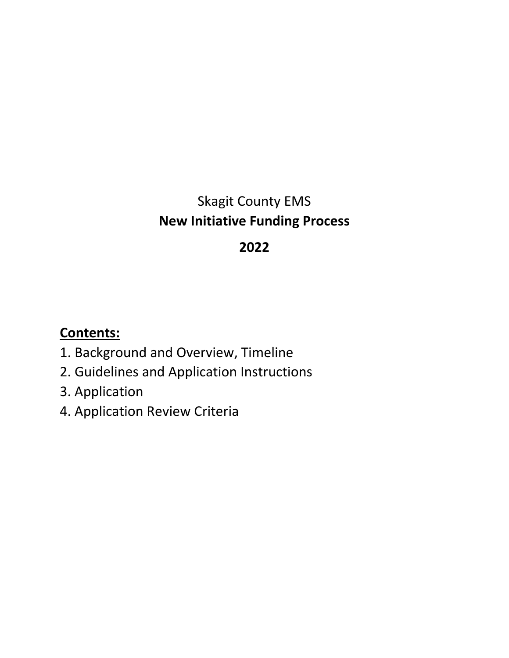# Skagit County EMS **New Initiative Funding Process**

# **2022**

# **Contents:**

- 1. Background and Overview, Timeline
- 2. Guidelines and Application Instructions
- 3. Application
- 4. Application Review Criteria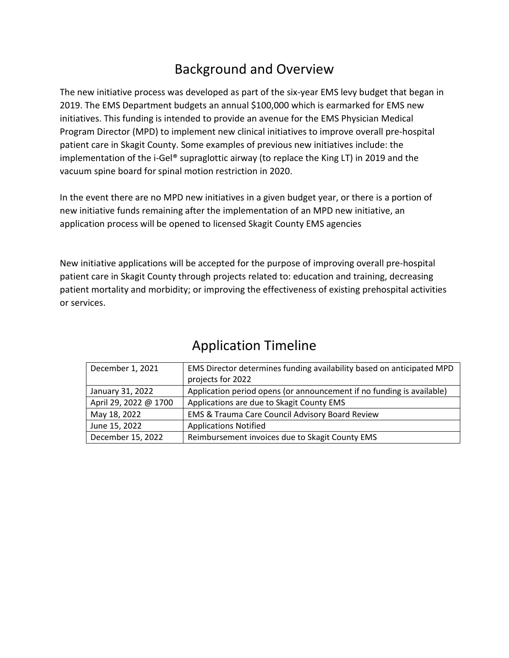# Background and Overview

The new initiative process was developed as part of the six-year EMS levy budget that began in 2019. The EMS Department budgets an annual \$100,000 which is earmarked for EMS new initiatives. This funding is intended to provide an avenue for the EMS Physician Medical Program Director (MPD) to implement new clinical initiatives to improve overall pre-hospital patient care in Skagit County. Some examples of previous new initiatives include: the implementation of the i-Gel® supraglottic airway (to replace the King LT) in 2019 and the vacuum spine board for spinal motion restriction in 2020.

In the event there are no MPD new initiatives in a given budget year, or there is a portion of new initiative funds remaining after the implementation of an MPD new initiative, an application process will be opened to licensed Skagit County EMS agencies

New initiative applications will be accepted for the purpose of improving overall pre-hospital patient care in Skagit County through projects related to: education and training, decreasing patient mortality and morbidity; or improving the effectiveness of existing prehospital activities or services.

| December 1, 2021                                                     | EMS Director determines funding availability based on anticipated MPD |  |
|----------------------------------------------------------------------|-----------------------------------------------------------------------|--|
|                                                                      | projects for 2022                                                     |  |
| January 31, 2022                                                     | Application period opens (or announcement if no funding is available) |  |
| April 29, 2022 @ 1700                                                | Applications are due to Skagit County EMS                             |  |
| May 18, 2022                                                         | <b>EMS &amp; Trauma Care Council Advisory Board Review</b>            |  |
| June 15, 2022                                                        | <b>Applications Notified</b>                                          |  |
| December 15, 2022<br>Reimbursement invoices due to Skagit County EMS |                                                                       |  |

### Application Timeline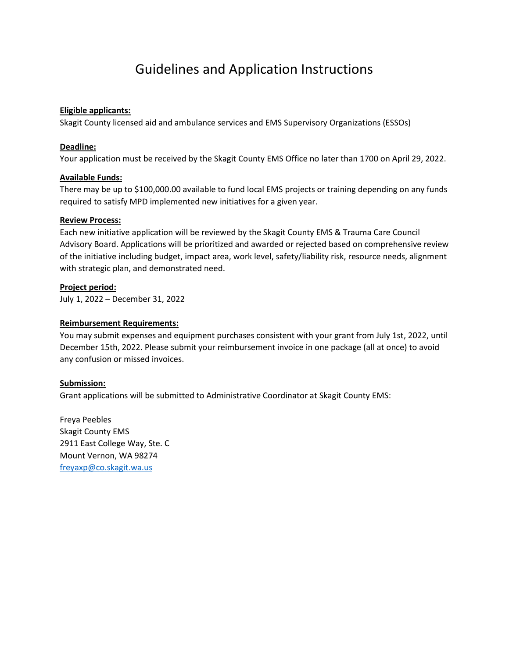### Guidelines and Application Instructions

#### **Eligible applicants:**

Skagit County licensed aid and ambulance services and EMS Supervisory Organizations (ESSOs)

#### **Deadline:**

Your application must be received by the Skagit County EMS Office no later than 1700 on April 29, 2022.

#### **Available Funds:**

There may be up to \$100,000.00 available to fund local EMS projects or training depending on any funds required to satisfy MPD implemented new initiatives for a given year.

#### **Review Process:**

Each new initiative application will be reviewed by the Skagit County EMS & Trauma Care Council Advisory Board. Applications will be prioritized and awarded or rejected based on comprehensive review of the initiative including budget, impact area, work level, safety/liability risk, resource needs, alignment with strategic plan, and demonstrated need.

#### **Project period:**

July 1, 2022 – December 31, 2022

#### **Reimbursement Requirements:**

You may submit expenses and equipment purchases consistent with your grant from July 1st, 2022, until December 15th, 2022. Please submit your reimbursement invoice in one package (all at once) to avoid any confusion or missed invoices.

#### **Submission:**

Grant applications will be submitted to Administrative Coordinator at Skagit County EMS:

Freya Peebles Skagit County EMS 2911 East College Way, Ste. C Mount Vernon, WA 98274 [freyaxp@co.skagit.wa.us](mailto:freyaxp@co.skagit.wa.us)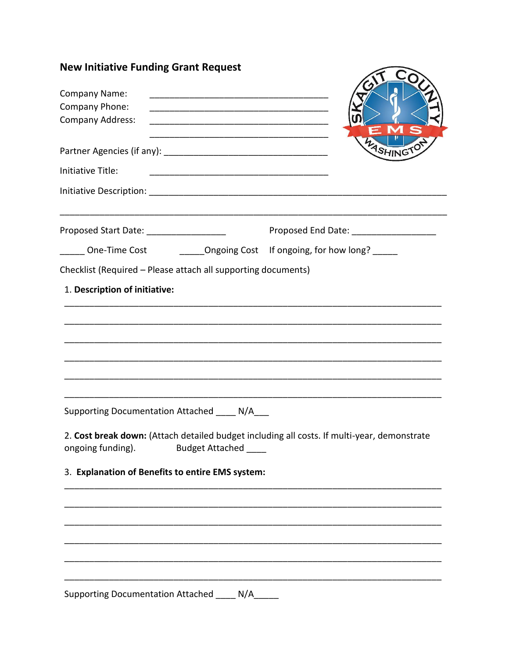| <b>New Initiative Funding Grant Request</b>                                                                                                |                                        |
|--------------------------------------------------------------------------------------------------------------------------------------------|----------------------------------------|
| Company Name:                                                                                                                              |                                        |
| Company Phone:<br><u> 1980 - Jan James James Barnett, fransk politik (d. 1980)</u>                                                         |                                        |
| Company Address:<br><u> 2000 - Jan James James James James James James James James James James James James James James James James J</u>   | $\in \mathbf{M}$                       |
| Partner Agencies (if any):                                                                                                                 | WASHINGTON                             |
| Initiative Title:                                                                                                                          |                                        |
|                                                                                                                                            |                                        |
| Proposed Start Date: _____________________                                                                                                 | Proposed End Date: ___________________ |
| _____ One-Time Cost __________Ongoing Cost If ongoing, for how long?                                                                       |                                        |
| Checklist (Required - Please attach all supporting documents)                                                                              |                                        |
| 1. Description of initiative:                                                                                                              |                                        |
|                                                                                                                                            |                                        |
| Supporting Documentation Attached ____ N/A___                                                                                              |                                        |
| 2. Cost break down: (Attach detailed budget including all costs. If multi-year, demonstrate<br>ongoing funding).<br><b>Budget Attached</b> |                                        |
| 3. Explanation of Benefits to entire EMS system:                                                                                           |                                        |
|                                                                                                                                            |                                        |
|                                                                                                                                            |                                        |
|                                                                                                                                            |                                        |
|                                                                                                                                            |                                        |
|                                                                                                                                            |                                        |
|                                                                                                                                            |                                        |

Supporting Documentation Attached \_\_\_\_ N/A\_\_\_\_\_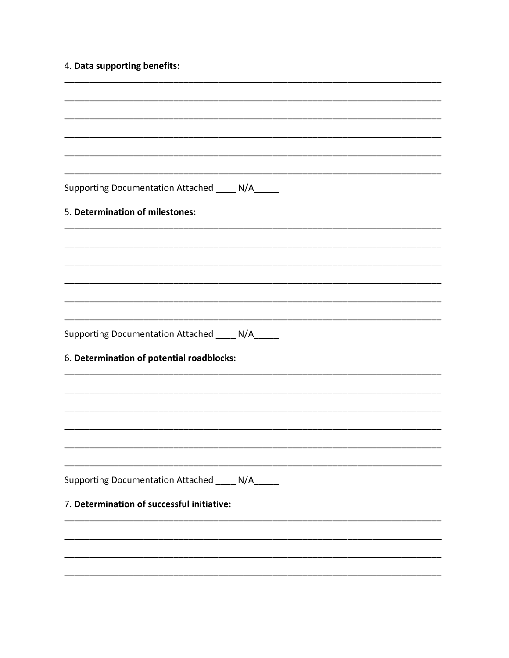### 4. Data supporting benefits:

| Supporting Documentation Attached ____ N/A_____ |  |
|-------------------------------------------------|--|
| 5. Determination of milestones:                 |  |
|                                                 |  |
|                                                 |  |
|                                                 |  |
|                                                 |  |
|                                                 |  |
| Supporting Documentation Attached ____ N/A_____ |  |
| 6. Determination of potential roadblocks:       |  |
|                                                 |  |
|                                                 |  |
|                                                 |  |
|                                                 |  |
|                                                 |  |
|                                                 |  |
|                                                 |  |
| Supporting Documentation Attached ____ N/A_____ |  |
| 7. Determination of successful initiative:      |  |
|                                                 |  |
|                                                 |  |
|                                                 |  |
|                                                 |  |
|                                                 |  |